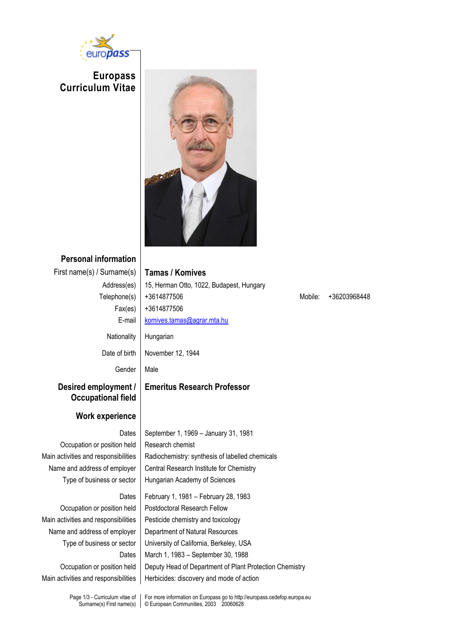

**Europass Curriculum Vitae**



# **Personal information**

First name(s) / Surname(s) **Tamas / Komives** Address(es) 15, Herman Otto, 1022, Budapest, Hungary  $Fax(es)$  +3614877506 E-mail [komives.tamas@agrar.mta.hu](mailto:komives.tamas@agrar.mta.hu) Nationality | Hungarian Date of birth | November 12, 1944

## **Desired employment / Occupational field**

### **Work experience**

Occupation or position held | Research chemist

Main activities and responsibilities  $\parallel$  Pesticide chemistry and toxicology Occupation or position held Deputy Head of Department of Plant Protection Chemistry

Gender | Male **Emeritus Research Professor** Dates | September 1, 1969 – January 31, 1981 Main activities and responsibilities  $\parallel$  Radiochemistry: synthesis of labelled chemicals Name and address of employer  $\parallel$  Central Research Institute for Chemistry Type of business or sector | Hungarian Academy of Sciences Dates | February 1, 1981 – February 28, 1983 Occupation or position held | Postdoctoral Research Fellow Name and address of employer | Department of Natural Resources Type of business or sector | University of California, Berkeley, USA Dates | March 1, 1983 – September 30, 1988

Main activities and responsibilities  $\parallel$  Herbicides: discovery and mode of action

Telephone(s) +3614877506 Mobile: +36203968448

Page 1/3 - Curriculum vitae of Surname(s) First name(s)

For more information on Europass go to http://europass.cedefop.europa.eu © European Communities, 2003 20060628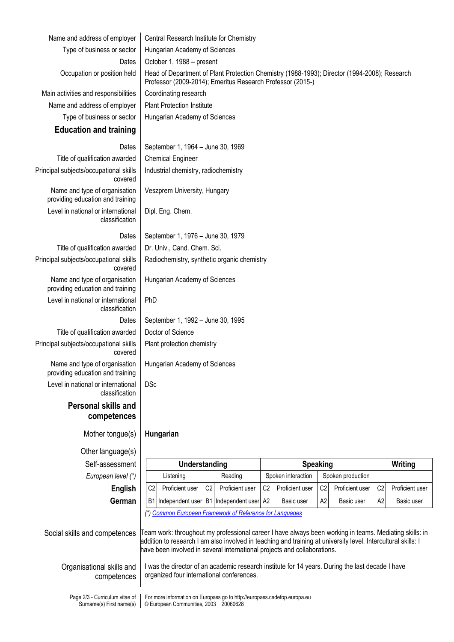| Name and address of employer                                      | Central Research Institute for Chemistry                                                                                                      |                                                                                                                                                            |                |                                                                                                                                                                                                                                                                                                     |                |                    |                |                   |                |                 |
|-------------------------------------------------------------------|-----------------------------------------------------------------------------------------------------------------------------------------------|------------------------------------------------------------------------------------------------------------------------------------------------------------|----------------|-----------------------------------------------------------------------------------------------------------------------------------------------------------------------------------------------------------------------------------------------------------------------------------------------------|----------------|--------------------|----------------|-------------------|----------------|-----------------|
| Type of business or sector                                        |                                                                                                                                               | Hungarian Academy of Sciences                                                                                                                              |                |                                                                                                                                                                                                                                                                                                     |                |                    |                |                   |                |                 |
| Dates                                                             |                                                                                                                                               | October 1, 1988 - present                                                                                                                                  |                |                                                                                                                                                                                                                                                                                                     |                |                    |                |                   |                |                 |
| Occupation or position held                                       |                                                                                                                                               | Head of Department of Plant Protection Chemistry (1988-1993); Director (1994-2008); Research<br>Professor (2009-2014); Emeritus Research Professor (2015-) |                |                                                                                                                                                                                                                                                                                                     |                |                    |                |                   |                |                 |
| Main activities and responsibilities                              |                                                                                                                                               | Coordinating research                                                                                                                                      |                |                                                                                                                                                                                                                                                                                                     |                |                    |                |                   |                |                 |
| Name and address of employer                                      |                                                                                                                                               | <b>Plant Protection Institute</b>                                                                                                                          |                |                                                                                                                                                                                                                                                                                                     |                |                    |                |                   |                |                 |
| Type of business or sector                                        |                                                                                                                                               | Hungarian Academy of Sciences                                                                                                                              |                |                                                                                                                                                                                                                                                                                                     |                |                    |                |                   |                |                 |
| <b>Education and training</b>                                     |                                                                                                                                               |                                                                                                                                                            |                |                                                                                                                                                                                                                                                                                                     |                |                    |                |                   |                |                 |
| Dates                                                             |                                                                                                                                               | September 1, 1964 - June 30, 1969                                                                                                                          |                |                                                                                                                                                                                                                                                                                                     |                |                    |                |                   |                |                 |
| Title of qualification awarded                                    |                                                                                                                                               | <b>Chemical Engineer</b>                                                                                                                                   |                |                                                                                                                                                                                                                                                                                                     |                |                    |                |                   |                |                 |
| Principal subjects/occupational skills<br>covered                 |                                                                                                                                               | Industrial chemistry, radiochemistry                                                                                                                       |                |                                                                                                                                                                                                                                                                                                     |                |                    |                |                   |                |                 |
| Name and type of organisation<br>providing education and training |                                                                                                                                               | Veszprem University, Hungary                                                                                                                               |                |                                                                                                                                                                                                                                                                                                     |                |                    |                |                   |                |                 |
| Level in national or international<br>classification              |                                                                                                                                               | Dipl. Eng. Chem.                                                                                                                                           |                |                                                                                                                                                                                                                                                                                                     |                |                    |                |                   |                |                 |
| Dates                                                             | September 1, 1976 - June 30, 1979                                                                                                             |                                                                                                                                                            |                |                                                                                                                                                                                                                                                                                                     |                |                    |                |                   |                |                 |
| Title of qualification awarded                                    |                                                                                                                                               | Dr. Univ., Cand. Chem. Sci.                                                                                                                                |                |                                                                                                                                                                                                                                                                                                     |                |                    |                |                   |                |                 |
| Principal subjects/occupational skills<br>covered                 |                                                                                                                                               | Radiochemistry, synthetic organic chemistry                                                                                                                |                |                                                                                                                                                                                                                                                                                                     |                |                    |                |                   |                |                 |
| Name and type of organisation<br>providing education and training |                                                                                                                                               | Hungarian Academy of Sciences                                                                                                                              |                |                                                                                                                                                                                                                                                                                                     |                |                    |                |                   |                |                 |
| Level in national or international<br>classification              | PhD                                                                                                                                           |                                                                                                                                                            |                |                                                                                                                                                                                                                                                                                                     |                |                    |                |                   |                |                 |
| Dates                                                             | September 1, 1992 - June 30, 1995                                                                                                             |                                                                                                                                                            |                |                                                                                                                                                                                                                                                                                                     |                |                    |                |                   |                |                 |
| Title of qualification awarded                                    |                                                                                                                                               | Doctor of Science                                                                                                                                          |                |                                                                                                                                                                                                                                                                                                     |                |                    |                |                   |                |                 |
| Principal subjects/occupational skills<br>covered                 |                                                                                                                                               | Plant protection chemistry                                                                                                                                 |                |                                                                                                                                                                                                                                                                                                     |                |                    |                |                   |                |                 |
| Name and type of organisation<br>providing education and training |                                                                                                                                               | Hungarian Academy of Sciences                                                                                                                              |                |                                                                                                                                                                                                                                                                                                     |                |                    |                |                   |                |                 |
| Level in national or international<br>classification              | <b>DSc</b>                                                                                                                                    |                                                                                                                                                            |                |                                                                                                                                                                                                                                                                                                     |                |                    |                |                   |                |                 |
| <b>Personal skills and</b><br>competences                         |                                                                                                                                               |                                                                                                                                                            |                |                                                                                                                                                                                                                                                                                                     |                |                    |                |                   |                |                 |
| Mother tongue(s)                                                  | Hungarian                                                                                                                                     |                                                                                                                                                            |                |                                                                                                                                                                                                                                                                                                     |                |                    |                |                   |                |                 |
| Other language(s)                                                 |                                                                                                                                               |                                                                                                                                                            |                |                                                                                                                                                                                                                                                                                                     |                |                    |                |                   |                |                 |
| Self-assessment                                                   |                                                                                                                                               | Understanding                                                                                                                                              |                |                                                                                                                                                                                                                                                                                                     |                | <b>Speaking</b>    |                |                   |                | Writing         |
| European level (*)                                                |                                                                                                                                               | Listening                                                                                                                                                  |                | Reading                                                                                                                                                                                                                                                                                             |                | Spoken interaction |                | Spoken production |                |                 |
| <b>English</b>                                                    | C <sub>2</sub>                                                                                                                                | Proficient user                                                                                                                                            | C <sub>2</sub> | Proficient user                                                                                                                                                                                                                                                                                     | C <sub>2</sub> | Proficient user    | C <sub>2</sub> | Proficient user   | C <sub>2</sub> | Proficient user |
| German                                                            | <b>B1</b>                                                                                                                                     |                                                                                                                                                            |                | Independent user B1 Independent user A2                                                                                                                                                                                                                                                             |                | Basic user         | A <sub>2</sub> | Basic user        | A <sub>2</sub> | Basic user      |
|                                                                   |                                                                                                                                               |                                                                                                                                                            |                | (*) Common European Framework of Reference for Languages                                                                                                                                                                                                                                            |                |                    |                |                   |                |                 |
| Social skills and competences                                     |                                                                                                                                               |                                                                                                                                                            |                | Team work: throughout my professional career I have always been working in teams. Mediating skills: in<br>addition to research I am also involved in teaching and training at university level. Intercultural skills: I<br>have been involved in several international projects and collaborations. |                |                    |                |                   |                |                 |
| Organisational skills and<br>competences                          | I was the director of an academic research institute for 14 years. During the last decade I have<br>organized four international conferences. |                                                                                                                                                            |                |                                                                                                                                                                                                                                                                                                     |                |                    |                |                   |                |                 |
| Page 2/3 - Curriculum vitae of<br>Surname(s) First name(s)        | For more information on Europass go to http://europass.cedefop.europa.eu<br>© European Communities, 2003 20060628                             |                                                                                                                                                            |                |                                                                                                                                                                                                                                                                                                     |                |                    |                |                   |                |                 |